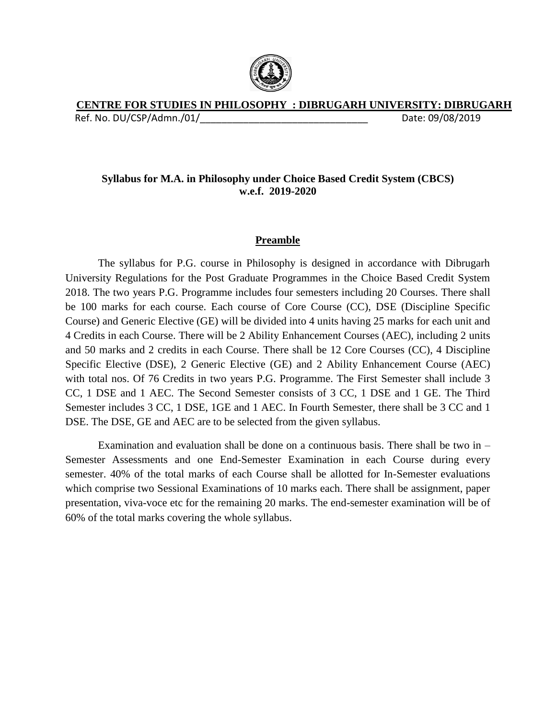

# **CENTRE FOR STUDIES IN PHILOSOPHY : DIBRUGARH UNIVERSITY: DIBRUGARH**

Ref. No. DU/CSP/Admn./01/\_\_\_\_\_\_\_\_\_\_\_\_\_\_\_\_\_\_\_\_\_\_\_\_\_\_\_\_\_\_\_ Date: 09/08/2019

# **Syllabus for M.A. in Philosophy under Choice Based Credit System (CBCS) w.e.f. 2019-2020**

# **Preamble**

The syllabus for P.G. course in Philosophy is designed in accordance with Dibrugarh University Regulations for the Post Graduate Programmes in the Choice Based Credit System 2018. The two years P.G. Programme includes four semesters including 20 Courses. There shall be 100 marks for each course. Each course of Core Course (CC), DSE (Discipline Specific Course) and Generic Elective (GE) will be divided into 4 units having 25 marks for each unit and 4 Credits in each Course. There will be 2 Ability Enhancement Courses (AEC), including 2 units and 50 marks and 2 credits in each Course. There shall be 12 Core Courses (CC), 4 Discipline Specific Elective (DSE), 2 Generic Elective (GE) and 2 Ability Enhancement Course (AEC) with total nos. Of 76 Credits in two years P.G. Programme. The First Semester shall include 3 CC, 1 DSE and 1 AEC. The Second Semester consists of 3 CC, 1 DSE and 1 GE. The Third Semester includes 3 CC, 1 DSE, 1GE and 1 AEC. In Fourth Semester, there shall be 3 CC and 1 DSE. The DSE, GE and AEC are to be selected from the given syllabus.

Examination and evaluation shall be done on a continuous basis. There shall be two in  $-$ Semester Assessments and one End-Semester Examination in each Course during every semester. 40% of the total marks of each Course shall be allotted for In-Semester evaluations which comprise two Sessional Examinations of 10 marks each. There shall be assignment, paper presentation, viva-voce etc for the remaining 20 marks. The end-semester examination will be of 60% of the total marks covering the whole syllabus.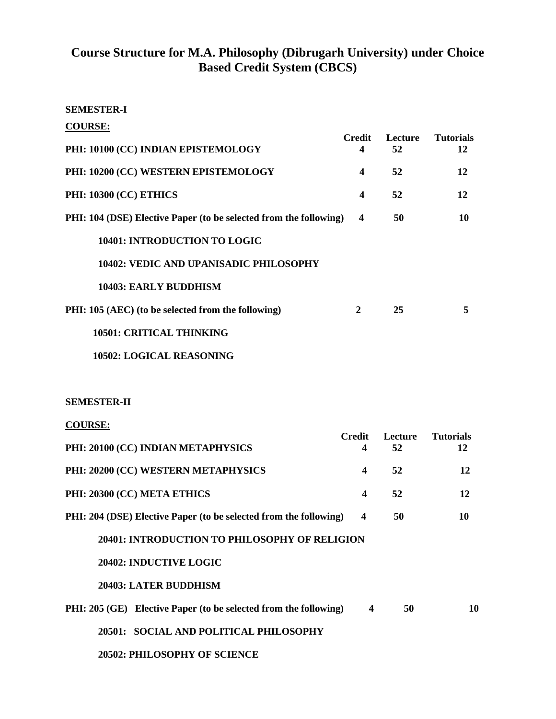# **Course Structure for M.A. Philosophy (Dibrugarh University) under Choice Based Credit System (CBCS)**

### **SEMESTER-I**

| <b>COURSE:</b>                                                    |                         |               |                        |
|-------------------------------------------------------------------|-------------------------|---------------|------------------------|
| PHI: 10100 (CC) INDIAN EPISTEMOLOGY                               | Credit<br>4             | Lecture<br>52 | <b>Tutorials</b><br>12 |
| PHI: 10200 (CC) WESTERN EPISTEMOLOGY                              | $\boldsymbol{4}$        | 52            | 12                     |
| <b>PHI: 10300 (CC) ETHICS</b>                                     | 4                       | 52            | 12                     |
| PHI: 104 (DSE) Elective Paper (to be selected from the following) | $\overline{\mathbf{4}}$ | 50            | 10                     |
| 10401: INTRODUCTION TO LOGIC                                      |                         |               |                        |
| 10402: VEDIC AND UPANISADIC PHILOSOPHY                            |                         |               |                        |
| 10403: EARLY BUDDHISM                                             |                         |               |                        |
| PHI: 105 (AEC) (to be selected from the following)                | $\mathbf{2}$            | 25            | 5                      |
| <b>10501: CRITICAL THINKING</b>                                   |                         |               |                        |
| <b>10502: LOGICAL REASONING</b>                                   |                         |               |                        |

### **SEMESTER-II**

| <b>COURSE:</b> |
|----------------|
|----------------|

|                                                                   | <b>Credit</b>           | <b>Lecture</b> | <b>Tutorials</b> |
|-------------------------------------------------------------------|-------------------------|----------------|------------------|
| PHI: 20100 (CC) INDIAN METAPHYSICS                                | 4                       | 52             | 12               |
| PHI: 20200 (CC) WESTERN METAPHYSICS                               | $\overline{\mathbf{4}}$ | 52             | 12               |
| PHI: 20300 (CC) META ETHICS                                       | $\overline{\mathbf{4}}$ | 52             | 12               |
| PHI: 204 (DSE) Elective Paper (to be selected from the following) | 4                       | 50             | 10               |
| 20401: INTRODUCTION TO PHILOSOPHY OF RELIGION                     |                         |                |                  |
| 20402: INDUCTIVE LOGIC                                            |                         |                |                  |
| <b>20403: LATER BUDDHISM</b>                                      |                         |                |                  |
| PHI: 205 (GE) Elective Paper (to be selected from the following)  | $\overline{\mathbf{4}}$ | 50             | 10               |
| 20501: SOCIAL AND POLITICAL PHILOSOPHY                            |                         |                |                  |
| <b>20502: PHILOSOPHY OF SCIENCE</b>                               |                         |                |                  |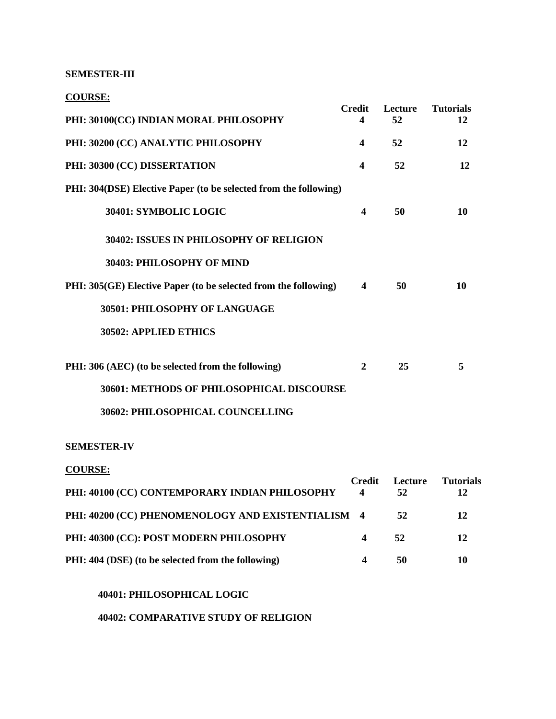#### **SEMESTER-III**

**COURSE:**

| $- - - - - - -$                                                  |                         |               |                        |
|------------------------------------------------------------------|-------------------------|---------------|------------------------|
| PHI: 30100(CC) INDIAN MORAL PHILOSOPHY                           | <b>Credit</b><br>4      | Lecture<br>52 | <b>Tutorials</b><br>12 |
| PHI: 30200 (CC) ANALYTIC PHILOSOPHY                              | $\overline{\mathbf{4}}$ | 52            | 12                     |
| PHI: 30300 (CC) DISSERTATION                                     | $\overline{\mathbf{4}}$ | 52            | 12                     |
| PHI: 304(DSE) Elective Paper (to be selected from the following) |                         |               |                        |
| 30401: SYMBOLIC LOGIC                                            | $\overline{\mathbf{4}}$ | 50            | 10                     |
| 30402: ISSUES IN PHILOSOPHY OF RELIGION                          |                         |               |                        |
| 30403: PHILOSOPHY OF MIND                                        |                         |               |                        |
| PHI: 305(GE) Elective Paper (to be selected from the following)  | 4                       | 50            | 10                     |
| 30501: PHILOSOPHY OF LANGUAGE                                    |                         |               |                        |
| 30502: APPLIED ETHICS                                            |                         |               |                        |
| PHI: 306 (AEC) (to be selected from the following)               | $\boldsymbol{2}$        | 25            | 5                      |
| 30601: METHODS OF PHILOSOPHICAL DISCOURSE                        |                         |               |                        |
| 30602: PHILOSOPHICAL COUNCELLING                                 |                         |               |                        |
| <b>SEMESTER-IV</b>                                               |                         |               |                        |
| <b>COURSE:</b>                                                   |                         |               |                        |
| PHI: 40100 (CC) CONTEMPORARY INDIAN PHILOSOPHY                   | <b>Credit</b><br>4      | Lecture<br>52 | <b>Tutorials</b><br>12 |
| PHI: 40200 (CC) PHENOMENOLOGY AND EXISTENTIALISM                 | $\overline{\mathbf{4}}$ | 52            | 12                     |
| PHI: 40300 (CC): POST MODERN PHILOSOPHY                          | 4                       | 52            | 12                     |
| PHI: 404 (DSE) (to be selected from the following)               | 4                       | 50            | 10                     |

### **40401: PHILOSOPHICAL LOGIC**

**40402: COMPARATIVE STUDY OF RELIGION**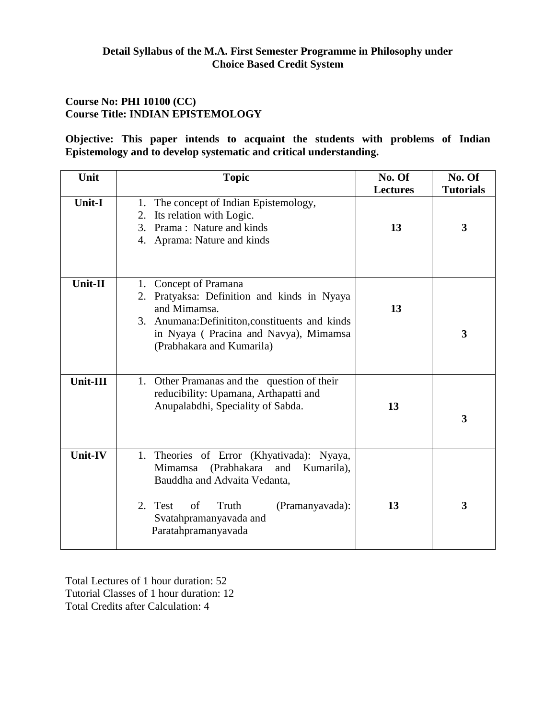# **Course No: PHI 10100 (CC) Course Title: INDIAN EPISTEMOLOGY**

**Objective: This paper intends to acquaint the students with problems of Indian Epistemology and to develop systematic and critical understanding.**

| Unit           | <b>Topic</b>                                                                                                                                                                                                           | No. Of<br><b>Lectures</b> | No. Of<br><b>Tutorials</b> |
|----------------|------------------------------------------------------------------------------------------------------------------------------------------------------------------------------------------------------------------------|---------------------------|----------------------------|
| Unit-I         | 1. The concept of Indian Epistemology,<br>Its relation with Logic.<br>2.<br>Prama: Nature and kinds<br>3.<br>4. Aprama: Nature and kinds                                                                               | 13                        | 3                          |
| Unit-II        | 1. Concept of Pramana<br>2. Pratyaksa: Definition and kinds in Nyaya<br>and Mimamsa.<br>3. Anumana: Definititon, constituents and kinds<br>in Nyaya (Pracina and Navya), Mimamsa<br>(Prabhakara and Kumarila)          | 13                        | 3                          |
| Unit-III       | 1. Other Pramanas and the question of their<br>reducibility: Upamana, Arthapatti and<br>Anupalabdhi, Speciality of Sabda.                                                                                              | 13                        | 3                          |
| <b>Unit-IV</b> | 1. Theories of Error (Khyativada):<br>Nyaya,<br>(Prabhakara and<br>Mimamsa<br>Kumarila),<br>Bauddha and Advaita Vedanta,<br>of<br>Truth<br>2. Test<br>(Pramanyavada):<br>Svatahpramanyavada and<br>Paratahpramanyavada | 13                        | 3                          |

Total Lectures of 1 hour duration: 52 Tutorial Classes of 1 hour duration: 12 Total Credits after Calculation: 4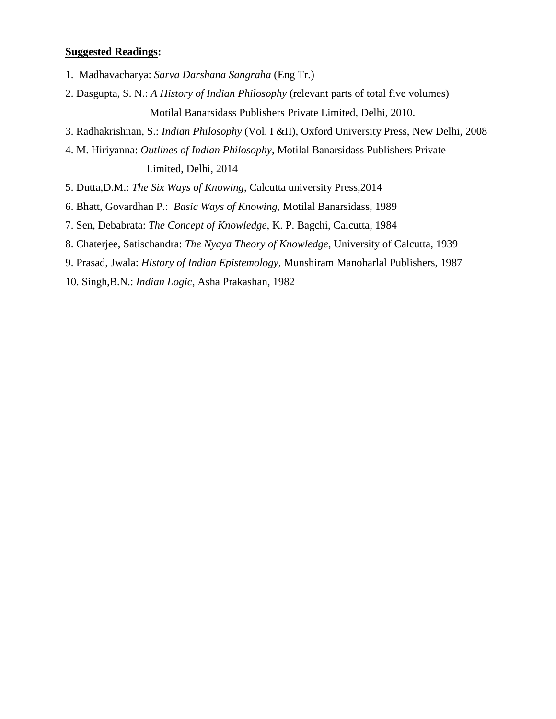- 1. Madhavacharya: *Sarva Darshana Sangraha* (Eng Tr.)
- 2. Dasgupta, S. N.: *A History of Indian Philosophy* (relevant parts of total five volumes) Motilal Banarsidass Publishers Private Limited, Delhi, 2010.
- 3. Radhakrishnan, S.: *Indian Philosophy* (Vol. I &II), Oxford University Press, New Delhi, 2008
- 4. M. Hiriyanna: *Outlines of Indian Philosophy*, Motilal Banarsidass Publishers Private Limited, Delhi, 2014
- 5. Dutta,D.M.: *The Six Ways of Knowing*, Calcutta university Press,2014
- 6. Bhatt, Govardhan P.: *Basic Ways of Knowing*, Motilal Banarsidass, 1989
- 7. Sen, Debabrata: *The Concept of Knowledge*, K. P. Bagchi, Calcutta, 1984
- 8. Chaterjee, Satischandra: *The Nyaya Theory of Knowledge*, University of Calcutta, 1939
- 9. Prasad, Jwala: *History of Indian Epistemology*, Munshiram Manoharlal Publishers, 1987
- 10. Singh,B.N.: *Indian Logic*, Asha Prakashan, 1982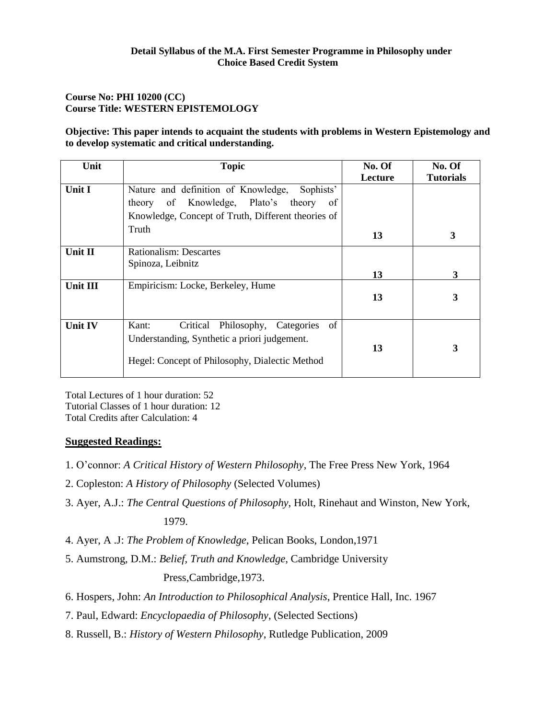### **Course No: PHI 10200 (CC) Course Title: WESTERN EPISTEMOLOGY**

**Objective: This paper intends to acquaint the students with problems in Western Epistemology and to develop systematic and critical understanding.**

| Unit           | <b>Topic</b>                                                                                                                                     | No. Of  | No. Of           |
|----------------|--------------------------------------------------------------------------------------------------------------------------------------------------|---------|------------------|
|                |                                                                                                                                                  | Lecture | <b>Tutorials</b> |
| Unit I         | Sophists'<br>Nature and definition of Knowledge,                                                                                                 |         |                  |
|                | of Knowledge, Plato's theory<br>of<br>theory                                                                                                     |         |                  |
|                | Knowledge, Concept of Truth, Different theories of                                                                                               |         |                  |
|                | Truth                                                                                                                                            | 13      | 3                |
| Unit II        | Rationalism: Descartes                                                                                                                           |         |                  |
|                | Spinoza, Leibnitz                                                                                                                                | 13      | 3                |
| Unit III       | Empiricism: Locke, Berkeley, Hume                                                                                                                | 13      | 3                |
| <b>Unit IV</b> | Critical Philosophy, Categories<br>of<br>Kant:<br>Understanding, Synthetic a priori judgement.<br>Hegel: Concept of Philosophy, Dialectic Method | 13      | 3                |

Total Lectures of 1 hour duration: 52 Tutorial Classes of 1 hour duration: 12 Total Credits after Calculation: 4

- 1. O'connor: *A Critical History of Western Philosophy*, The Free Press New York, 1964
- 2. Copleston: *A History of Philosophy* (Selected Volumes)
- 3. Ayer, A.J.: *The Central Questions of Philosophy*, Holt, Rinehaut and Winston, New York, 1979.
- 4. Ayer, A .J: *The Problem of Knowledge*, Pelican Books, London,1971
- 5. Aumstrong, D.M.: *Belief, Truth and Knowledge*, Cambridge University Press,Cambridge,1973.
- 6. Hospers, John: *An Introduction to Philosophical Analysis*, Prentice Hall, Inc. 1967
- 7. Paul, Edward: *Encyclopaedia of Philosophy*, (Selected Sections)
- 8. Russell, B.: *History of Western Philosophy*, Rutledge Publication, 2009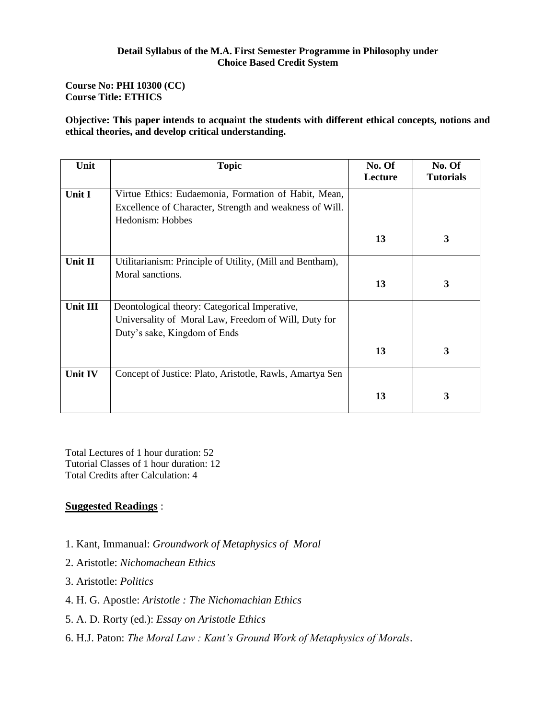### **Course No: PHI 10300 (CC) Course Title: ETHICS**

**Objective: This paper intends to acquaint the students with different ethical concepts, notions and ethical theories, and develop critical understanding.**

| Unit     | <b>Topic</b>                                              | No. Of  | No. Of           |
|----------|-----------------------------------------------------------|---------|------------------|
|          |                                                           | Lecture | <b>Tutorials</b> |
| Unit I   | Virtue Ethics: Eudaemonia, Formation of Habit, Mean,      |         |                  |
|          | Excellence of Character, Strength and weakness of Will.   |         |                  |
|          | Hedonism: Hobbes                                          |         |                  |
|          |                                                           | 13      | 3                |
| Unit II  | Utilitarianism: Principle of Utility, (Mill and Bentham), |         |                  |
|          | Moral sanctions.                                          |         |                  |
|          |                                                           | 13      | 3                |
| Unit III | Deontological theory: Categorical Imperative,             |         |                  |
|          | Universality of Moral Law, Freedom of Will, Duty for      |         |                  |
|          | Duty's sake, Kingdom of Ends                              |         |                  |
|          |                                                           | 13      | 3                |
| Unit IV  | Concept of Justice: Plato, Aristotle, Rawls, Amartya Sen  |         |                  |
|          |                                                           | 13      | 3                |

Total Lectures of 1 hour duration: 52 Tutorial Classes of 1 hour duration: 12 Total Credits after Calculation: 4

- 1. Kant, Immanual: *Groundwork of Metaphysics of Moral*
- 2. Aristotle: *Nichomachean Ethics*
- 3. Aristotle: *Politics*
- 4. H. G. Apostle: *Aristotle : The Nichomachian Ethics*
- 5. A. D. Rorty (ed.): *Essay on Aristotle Ethics*
- 6. H.J. Paton: *The Moral Law : Kant's Ground Work of Metaphysics of Morals*.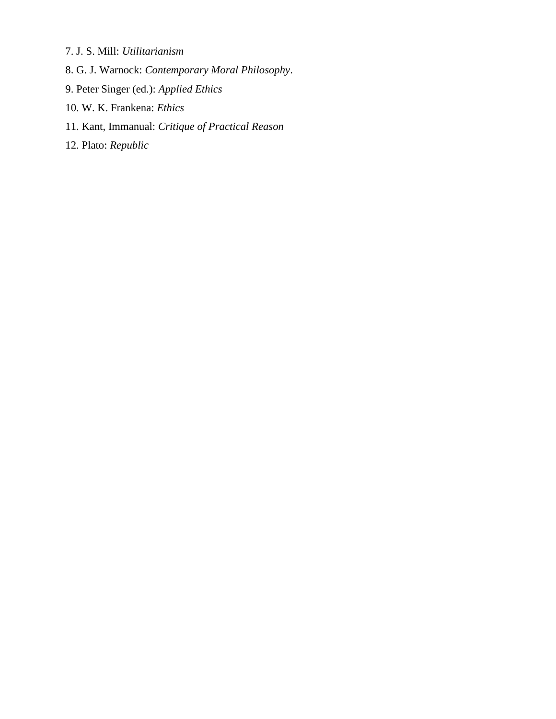- 7. J. S. Mill: *Utilitarianism*
- 8. G. J. Warnock: *Contemporary Moral Philosophy*.
- 9. Peter Singer (ed.): *Applied Ethics*
- 10. W. K. Frankena: *Ethics*
- 11. Kant, Immanual: *Critique of Practical Reason*
- 12. Plato: *Republic*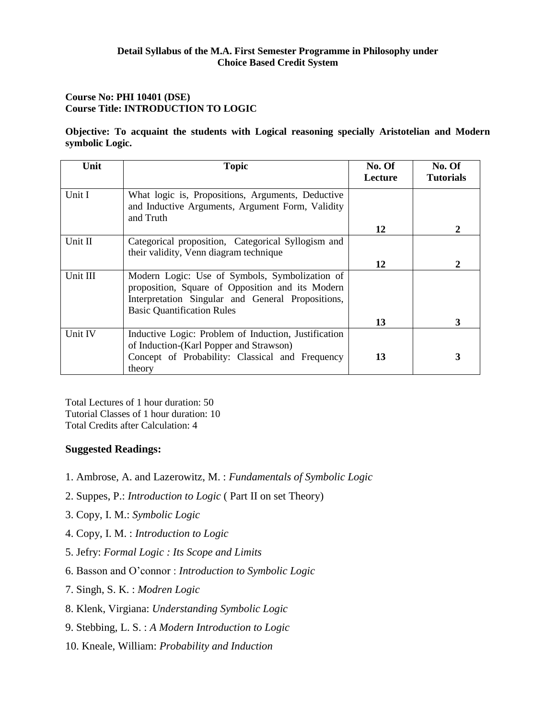### **Course No: PHI 10401 (DSE) Course Title: INTRODUCTION TO LOGIC**

**Objective: To acquaint the students with Logical reasoning specially Aristotelian and Modern symbolic Logic.**

| Unit     | <b>Topic</b>                                                                                                                                                                                 | No. Of  | No. Of           |
|----------|----------------------------------------------------------------------------------------------------------------------------------------------------------------------------------------------|---------|------------------|
|          |                                                                                                                                                                                              | Lecture | <b>Tutorials</b> |
| Unit I   | What logic is, Propositions, Arguments, Deductive<br>and Inductive Arguments, Argument Form, Validity<br>and Truth                                                                           |         |                  |
|          |                                                                                                                                                                                              | 12      | 2                |
| Unit II  | Categorical proposition, Categorical Syllogism and<br>their validity, Venn diagram technique                                                                                                 |         |                  |
|          |                                                                                                                                                                                              | 12      | 2                |
| Unit III | Modern Logic: Use of Symbols, Symbolization of<br>proposition, Square of Opposition and its Modern<br>Interpretation Singular and General Propositions,<br><b>Basic Quantification Rules</b> |         |                  |
|          |                                                                                                                                                                                              | 13      | 3                |
| Unit IV  | Inductive Logic: Problem of Induction, Justification<br>of Induction-(Karl Popper and Strawson)                                                                                              |         |                  |
|          | Concept of Probability: Classical and Frequency<br>theory                                                                                                                                    | 13      | 3                |

Total Lectures of 1 hour duration: 50 Tutorial Classes of 1 hour duration: 10 Total Credits after Calculation: 4

- 1. Ambrose, A. and Lazerowitz, M. : *Fundamentals of Symbolic Logic*
- 2. Suppes, P.: *Introduction to Logic* ( Part II on set Theory)
- 3. Copy, I. M.: *Symbolic Logic*
- 4. Copy, I. M. : *Introduction to Logic*
- 5. Jefry: *Formal Logic : Its Scope and Limits*
- 6. Basson and O'connor : *Introduction to Symbolic Logic*
- 7. Singh, S. K. : *Modren Logic*
- 8. Klenk, Virgiana: *Understanding Symbolic Logic*
- 9. Stebbing, L. S. : *A Modern Introduction to Logic*
- 10. Kneale, William: *Probability and Induction*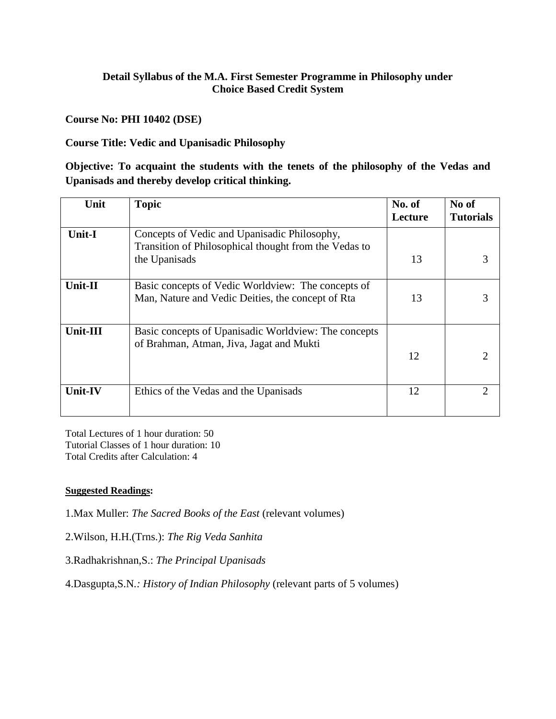# **Course No: PHI 10402 (DSE)**

# **Course Title: Vedic and Upanisadic Philosophy**

**Objective: To acquaint the students with the tenets of the philosophy of the Vedas and Upanisads and thereby develop critical thinking.**

| Unit           | <b>Topic</b>                                                                                                           | No. of<br>Lecture | No of<br><b>Tutorials</b>   |
|----------------|------------------------------------------------------------------------------------------------------------------------|-------------------|-----------------------------|
| <b>Unit-I</b>  | Concepts of Vedic and Upanisadic Philosophy,<br>Transition of Philosophical thought from the Vedas to<br>the Upanisads | 13                |                             |
| <b>Unit-II</b> | Basic concepts of Vedic Worldview: The concepts of<br>Man, Nature and Vedic Deities, the concept of Rta                | 13                |                             |
| Unit-III       | Basic concepts of Upanisadic Worldview: The concepts<br>of Brahman, Atman, Jiva, Jagat and Mukti                       | 12                | $\mathcal{D}_{\mathcal{L}}$ |
| <b>Unit-IV</b> | Ethics of the Vedas and the Upanisads                                                                                  | 12                | 2                           |

Total Lectures of 1 hour duration: 50 Tutorial Classes of 1 hour duration: 10 Total Credits after Calculation: 4

### **Suggested Readings:**

1.Max Muller: *The Sacred Books of the East* (relevant volumes)

2.Wilson, H.H.(Trns.): *The Rig Veda Sanhita*

3.Radhakrishnan,S.: *The Principal Upanisads*

4.Dasgupta,S.N*.: History of Indian Philosophy* (relevant parts of 5 volumes)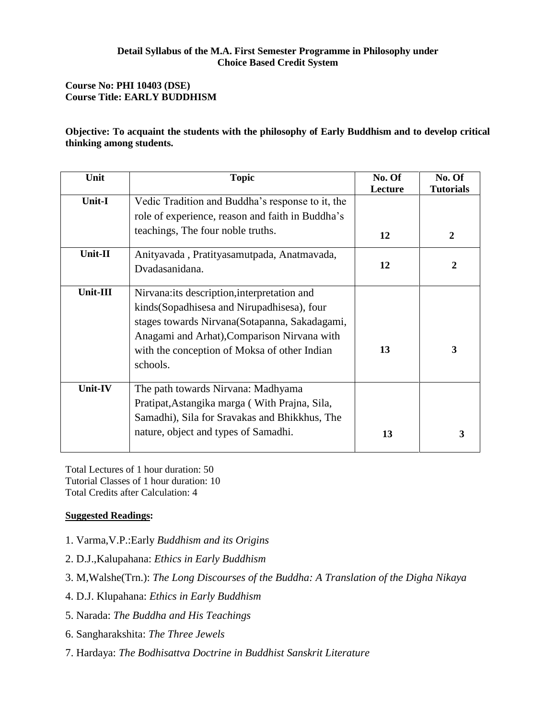### **Course No: PHI 10403 (DSE) Course Title: EARLY BUDDHISM**

### **Objective: To acquaint the students with the philosophy of Early Buddhism and to develop critical thinking among students.**

| Unit     | <b>Topic</b>                                                                                                                                                                                                                                             | No. Of<br>Lecture | No. Of<br><b>Tutorials</b> |
|----------|----------------------------------------------------------------------------------------------------------------------------------------------------------------------------------------------------------------------------------------------------------|-------------------|----------------------------|
| Unit-I   | Vedic Tradition and Buddha's response to it, the<br>role of experience, reason and faith in Buddha's                                                                                                                                                     |                   |                            |
|          | teachings, The four noble truths.                                                                                                                                                                                                                        | 12                | 2                          |
| Unit-II  | Anityavada, Pratityasamutpada, Anatmavada,<br>Dvadasanidana.                                                                                                                                                                                             | 12                | $\boldsymbol{2}$           |
| Unit-III | Nirvana: its description, interpretation and<br>kinds (Sopadhisesa and Nirupadhisesa), four<br>stages towards Nirvana (Sotapanna, Sakadagami,<br>Anagami and Arhat), Comparison Nirvana with<br>with the conception of Moksa of other Indian<br>schools. | 13                | 3                          |
| Unit-IV  | The path towards Nirvana: Madhyama<br>Pratipat, Astangika marga (With Prajna, Sila,<br>Samadhi), Sila for Sravakas and Bhikkhus, The<br>nature, object and types of Samadhi.                                                                             | 13                | 3                          |

Total Lectures of 1 hour duration: 50 Tutorial Classes of 1 hour duration: 10 Total Credits after Calculation: 4

- 1. Varma,V.P.:Early *Buddhism and its Origins*
- 2. D.J.,Kalupahana: *Ethics in Early Buddhism*
- 3. M,Walshe(Trn.): *The Long Discourses of the Buddha: A Translation of the Digha Nikaya*
- 4. D.J. Klupahana: *Ethics in Early Buddhism*
- 5. Narada: *The Buddha and His Teachings*
- 6. Sangharakshita: *The Three Jewels*
- 7. Hardaya: *The Bodhisattva Doctrine in Buddhist Sanskrit Literature*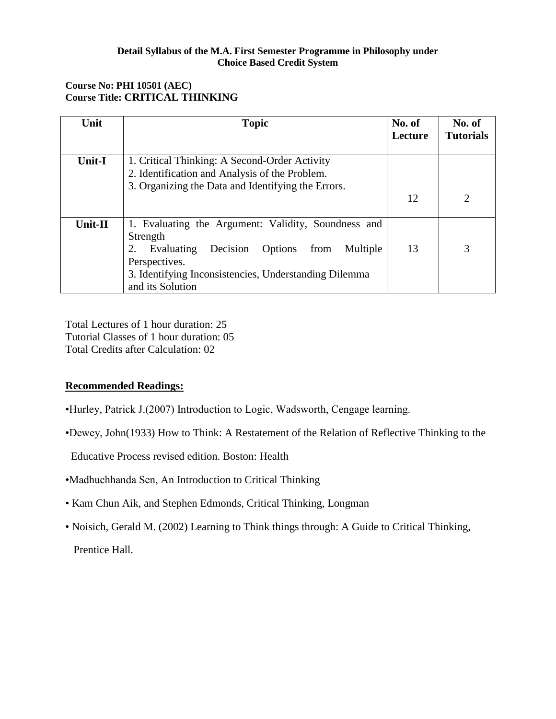# **Course No: PHI 10501 (AEC) Course Title: CRITICAL THINKING**

| Unit          | <b>Topic</b>                                                                                                                                                                                                                 | No. of<br>Lecture | No. of<br><b>Tutorials</b> |
|---------------|------------------------------------------------------------------------------------------------------------------------------------------------------------------------------------------------------------------------------|-------------------|----------------------------|
| <b>Unit-I</b> | 1. Critical Thinking: A Second-Order Activity<br>2. Identification and Analysis of the Problem.                                                                                                                              |                   |                            |
|               | 3. Organizing the Data and Identifying the Errors.                                                                                                                                                                           | 12                | 2                          |
| Unit-II       | 1. Evaluating the Argument: Validity, Soundness and<br>Strength<br>Evaluating<br>Decision<br>Options<br>from<br>Multiple<br>2.<br>Perspectives.<br>3. Identifying Inconsistencies, Understanding Dilemma<br>and its Solution | 13                | 3                          |

Total Lectures of 1 hour duration: 25 Tutorial Classes of 1 hour duration: 05 Total Credits after Calculation: 02

# **Recommended Readings:**

- •Hurley, Patrick J.(2007) Introduction to Logic, Wadsworth, Cengage learning.
- •Dewey, John(1933) How to Think: A Restatement of the Relation of Reflective Thinking to the

Educative Process revised edition. Boston: Health

- •Madhuchhanda Sen, An Introduction to Critical Thinking
- Kam Chun Aik, and Stephen Edmonds, Critical Thinking, Longman
- Noisich, Gerald M. (2002) Learning to Think things through: A Guide to Critical Thinking, Prentice Hall.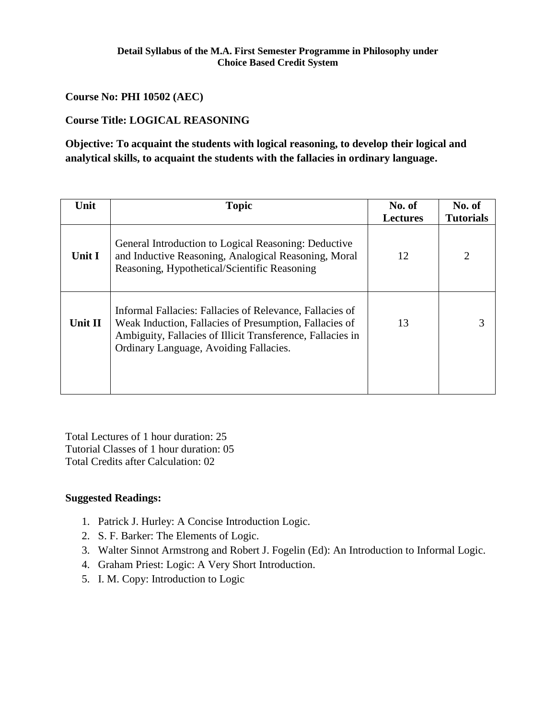### **Course No: PHI 10502 (AEC)**

# **Course Title: LOGICAL REASONING**

**Objective: To acquaint the students with logical reasoning, to develop their logical and analytical skills, to acquaint the students with the fallacies in ordinary language.**

| Unit    | <b>Topic</b>                                                                                                                                                                                                               | No. of<br><b>Lectures</b> | No. of<br><b>Tutorials</b> |
|---------|----------------------------------------------------------------------------------------------------------------------------------------------------------------------------------------------------------------------------|---------------------------|----------------------------|
| Unit I  | General Introduction to Logical Reasoning: Deductive<br>and Inductive Reasoning, Analogical Reasoning, Moral<br>Reasoning, Hypothetical/Scientific Reasoning                                                               | 12                        | 2                          |
| Unit II | Informal Fallacies: Fallacies of Relevance, Fallacies of<br>Weak Induction, Fallacies of Presumption, Fallacies of<br>Ambiguity, Fallacies of Illicit Transference, Fallacies in<br>Ordinary Language, Avoiding Fallacies. | 13                        |                            |

Total Lectures of 1 hour duration: 25 Tutorial Classes of 1 hour duration: 05 Total Credits after Calculation: 02

- 1. Patrick J. Hurley: A Concise Introduction Logic.
- 2. S. F. Barker: The Elements of Logic.
- 3. Walter Sinnot Armstrong and Robert J. Fogelin (Ed): An Introduction to Informal Logic.
- 4. Graham Priest: Logic: A Very Short Introduction.
- 5. I. M. Copy: Introduction to Logic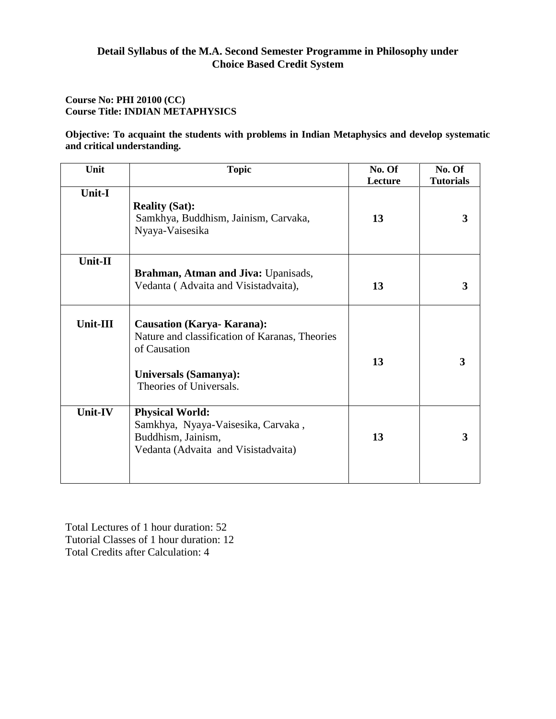### **Course No: PHI 20100 (CC) Course Title: INDIAN METAPHYSICS**

**Objective: To acquaint the students with problems in Indian Metaphysics and develop systematic and critical understanding.**

| Unit          | <b>Topic</b>                                                                                                                                                   | No. Of<br>Lecture | No. Of<br><b>Tutorials</b> |
|---------------|----------------------------------------------------------------------------------------------------------------------------------------------------------------|-------------------|----------------------------|
| <b>Unit-I</b> | <b>Reality (Sat):</b><br>Samkhya, Buddhism, Jainism, Carvaka,<br>Nyaya-Vaisesika                                                                               | 13                | 3                          |
| Unit-II       | Brahman, Atman and Jiva: Upanisads,<br>Vedanta (Advaita and Visistadvaita),                                                                                    | 13                | 3                          |
| Unit-III      | <b>Causation (Karya- Karana):</b><br>Nature and classification of Karanas, Theories<br>of Causation<br><b>Universals (Samanya):</b><br>Theories of Universals. | 13                | 3                          |
| Unit-IV       | <b>Physical World:</b><br>Samkhya, Nyaya-Vaisesika, Carvaka,<br>Buddhism, Jainism,<br>Vedanta (Advaita and Visistadvaita)                                      | 13                | 3                          |

Total Lectures of 1 hour duration: 52 Tutorial Classes of 1 hour duration: 12 Total Credits after Calculation: 4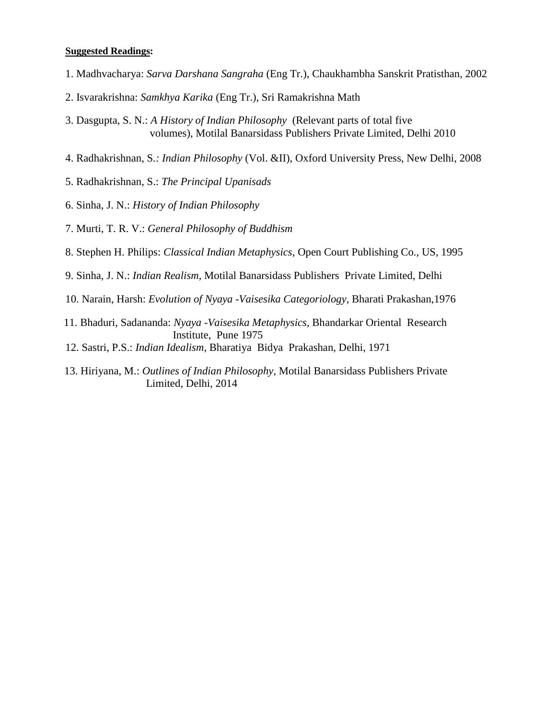- 1. Madhvacharya: *Sarva Darshana Sangraha* (Eng Tr.), Chaukhambha Sanskrit Pratisthan, 2002
- 2. Isvarakrishna: *Samkhya Karika* (Eng Tr.), Sri Ramakrishna Math
- 3. Dasgupta, S. N.: *A History of Indian Philosophy* (Relevant parts of total five volumes), Motilal Banarsidass Publishers Private Limited, Delhi 2010
- 4. Radhakrishnan, S*.: Indian Philosophy* (Vol. &II), Oxford University Press, New Delhi, 2008
- 5. Radhakrishnan, S.: *The Principal Upanisads*
- 6. Sinha, J. N.: *History of Indian Philosophy*
- 7. Murti, T. R. V.: *General Philosophy of Buddhism*
- 8. Stephen H. Philips: *Classical Indian Metaphysics*, Open Court Publishing Co., US, 1995
- 9. Sinha, J. N.: *Indian Realism*, Motilal Banarsidass Publishers Private Limited, Delhi
- 10. Narain, Harsh: *Evolution of Nyaya -Vaisesika Categoriology*, Bharati Prakashan,1976
- 11. Bhaduri, Sadananda: *Nyaya -Vaisesika Metaphysics*, Bhandarkar Oriental Research Institute, Pune 1975
- 12. Sastri, P.S.: *Indian Idealism*, Bharatiya Bidya Prakashan, Delhi, 1971
- 13. Hiriyana, M.: *Outlines of Indian Philosophy*, Motilal Banarsidass Publishers Private Limited, Delhi, 2014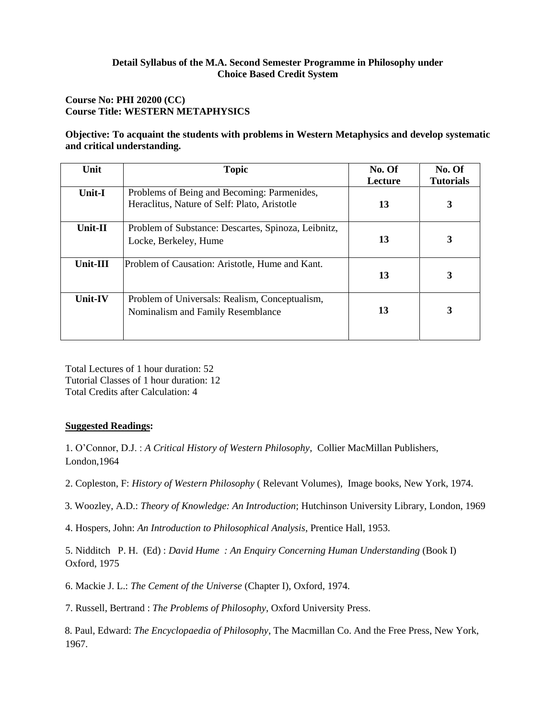### **Course No: PHI 20200 (CC) Course Title: WESTERN METAPHYSICS**

### **Objective: To acquaint the students with problems in Western Metaphysics and develop systematic and critical understanding.**

| Unit     | <b>Topic</b>                                                                                | No. Of<br>Lecture | No. Of<br><b>Tutorials</b> |
|----------|---------------------------------------------------------------------------------------------|-------------------|----------------------------|
| Unit-I   | Problems of Being and Becoming: Parmenides,<br>Heraclitus, Nature of Self: Plato, Aristotle | 13                | 3                          |
| Unit-II  | Problem of Substance: Descartes, Spinoza, Leibnitz,<br>Locke, Berkeley, Hume                | 13                |                            |
| Unit-III | Problem of Causation: Aristotle, Hume and Kant.                                             | 13                | 3                          |
| Unit-IV  | Problem of Universals: Realism, Conceptualism,<br>Nominalism and Family Resemblance         | 13                |                            |

Total Lectures of 1 hour duration: 52 Tutorial Classes of 1 hour duration: 12 Total Credits after Calculation: 4

### **Suggested Readings:**

1. O'Connor, D.J. : *A Critical History of Western Philosophy*, Collier MacMillan Publishers, London,1964

- 2. Copleston, F: *History of Western Philosophy* ( Relevant Volumes), Image books, New York, 1974.
- 3. Woozley, A.D.: *Theory of Knowledge: An Introduction*; Hutchinson University Library, London, 1969
- 4. Hospers, John: *An Introduction to Philosophical Analysis*, Prentice Hall, 1953.

5. Nidditch P. H. (Ed) : *David Hume : An Enquiry Concerning Human Understanding* (Book I) Oxford, 1975

6. Mackie J. L.: *The Cement of the Universe* (Chapter I), Oxford, 1974.

7. Russell, Bertrand : *The Problems of Philosophy*, Oxford University Press.

8. Paul, Edward: *The Encyclopaedia of Philosophy*, The Macmillan Co. And the Free Press, New York, 1967.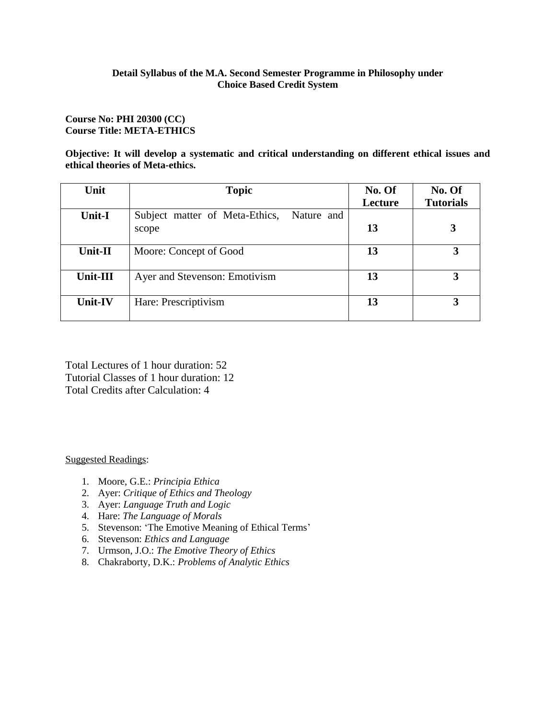#### **Course No: PHI 20300 (CC) Course Title: META-ETHICS**

**Objective: It will develop a systematic and critical understanding on different ethical issues and ethical theories of Meta-ethics.**

| Unit           | <b>Topic</b>                                          | No. Of  | No. Of           |
|----------------|-------------------------------------------------------|---------|------------------|
|                |                                                       | Lecture | <b>Tutorials</b> |
| <b>Unit-I</b>  | Nature and<br>Subject matter of Meta-Ethics,<br>scope | 13      |                  |
| Unit-II        | Moore: Concept of Good                                | 13      | 3                |
| Unit-III       | Ayer and Stevenson: Emotivism                         | 13      | 3                |
| <b>Unit-IV</b> | Hare: Prescriptivism                                  | 13      | 3                |

Total Lectures of 1 hour duration: 52 Tutorial Classes of 1 hour duration: 12 Total Credits after Calculation: 4

- 1. Moore, G.E.: *Principia Ethica*
- 2. Ayer: *Critique of Ethics and Theology*
- 3. Ayer: *Language Truth and Logic*
- 4. Hare: *The Language of Morals*
- 5. Stevenson: 'The Emotive Meaning of Ethical Terms'
- 6. Stevenson: *Ethics and Language*
- 7. Urmson, J.O.: *The Emotive Theory of Ethics*
- 8. Chakraborty, D.K.: *Problems of Analytic Ethics*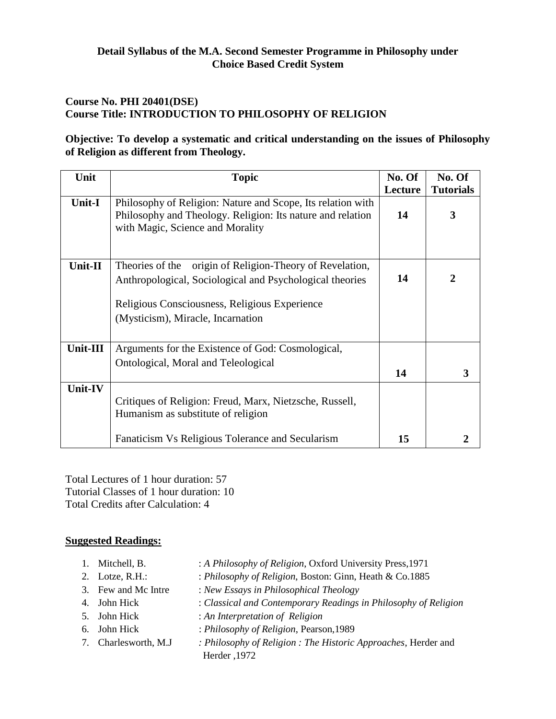# **Course No. PHI 20401(DSE) Course Title: INTRODUCTION TO PHILOSOPHY OF RELIGION**

# **Objective: To develop a systematic and critical understanding on the issues of Philosophy of Religion as different from Theology.**

| Unit           | <b>Topic</b>                                                                                                                                                                                                  | No. Of<br>Lecture | No. Of<br><b>Tutorials</b> |
|----------------|---------------------------------------------------------------------------------------------------------------------------------------------------------------------------------------------------------------|-------------------|----------------------------|
| <b>Unit-I</b>  | Philosophy of Religion: Nature and Scope, Its relation with<br>Philosophy and Theology. Religion: Its nature and relation<br>with Magic, Science and Morality                                                 | 14                | 3                          |
| Unit-II        | origin of Religion-Theory of Revelation,<br>Theories of the<br>Anthropological, Sociological and Psychological theories<br>Religious Consciousness, Religious Experience<br>(Mysticism), Miracle, Incarnation | 14                | 2                          |
| Unit-III       | Arguments for the Existence of God: Cosmological,<br>Ontological, Moral and Teleological                                                                                                                      | 14                | 3                          |
| <b>Unit-IV</b> | Critiques of Religion: Freud, Marx, Nietzsche, Russell,<br>Humanism as substitute of religion<br>Fanaticism Vs Religious Tolerance and Secularism                                                             | 15                |                            |

Total Lectures of 1 hour duration: 57 Tutorial Classes of 1 hour duration: 10 Total Credits after Calculation: 4

- 1. Mitchell, B. : *A Philosophy of Religion*, Oxford University Press,1971
- 2. Lotze, R.H.: : *Philosophy of Religion*, Boston: Ginn, Heath & Co.1885
- 3. Few and Mc Intre : *New Essays in Philosophical Theology*
- 4. John Hick : *Classical and Contemporary Readings in Philosophy of Religion*
- 5. John Hick : *An Interpretation of Religion*
- 6. John Hick : *Philosophy of Religion*, Pearson,1989
- 7. Charlesworth, M.J *: Philosophy of Religion : The Historic Approaches*, Herder and Herder ,1972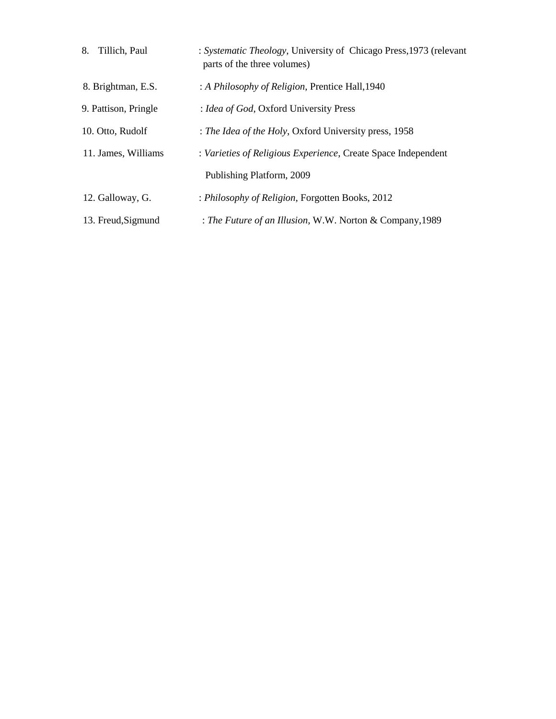| Tillich, Paul<br>8.  | : Systematic Theology, University of Chicago Press, 1973 (relevant<br>parts of the three volumes) |
|----------------------|---------------------------------------------------------------------------------------------------|
| 8. Brightman, E.S.   | : A Philosophy of Religion, Prentice Hall, 1940                                                   |
| 9. Pattison, Pringle | : Idea of God, Oxford University Press                                                            |
| 10. Otto, Rudolf     | : The Idea of the Holy, Oxford University press, 1958                                             |
| 11. James, Williams  | : Varieties of Religious Experience, Create Space Independent                                     |
|                      | Publishing Platform, 2009                                                                         |
| 12. Galloway, G.     | : Philosophy of Religion, Forgotten Books, 2012                                                   |
| 13. Freud, Sigmund   | : The Future of an Illusion, W.W. Norton & Company, 1989                                          |
|                      |                                                                                                   |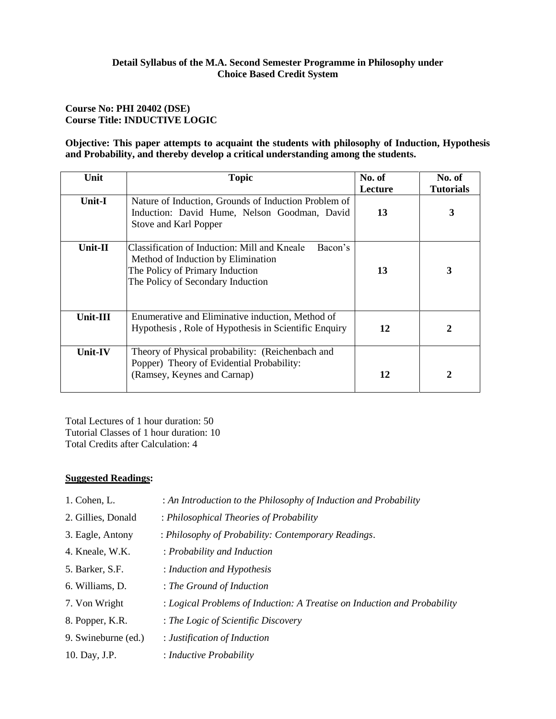### **Course No: PHI 20402 (DSE) Course Title: INDUCTIVE LOGIC**

### **Objective: This paper attempts to acquaint the students with philosophy of Induction, Hypothesis and Probability, and thereby develop a critical understanding among the students.**

| Unit     | <b>Topic</b>                                                                                                                                                          | No. of<br>Lecture | No. of<br><b>Tutorials</b> |
|----------|-----------------------------------------------------------------------------------------------------------------------------------------------------------------------|-------------------|----------------------------|
| Unit-I   | Nature of Induction, Grounds of Induction Problem of<br>Induction: David Hume, Nelson Goodman, David<br>Stove and Karl Popper                                         | 13                | 3                          |
| Unit-II  | Bacon's<br>Classification of Induction: Mill and Kneale<br>Method of Induction by Elimination<br>The Policy of Primary Induction<br>The Policy of Secondary Induction | 13                | 3                          |
| Unit-III | Enumerative and Eliminative induction, Method of<br>Hypothesis, Role of Hypothesis in Scientific Enquiry                                                              | 12                | 2                          |
| Unit-IV  | Theory of Physical probability: (Reichenbach and<br>Popper) Theory of Evidential Probability:<br>(Ramsey, Keynes and Carnap)                                          | 12                | 2                          |

Total Lectures of 1 hour duration: 50 Tutorial Classes of 1 hour duration: 10 Total Credits after Calculation: 4

| 1. Cohen, L.        | : An Introduction to the Philosophy of Induction and Probability         |
|---------------------|--------------------------------------------------------------------------|
| 2. Gillies, Donald  | : Philosophical Theories of Probability                                  |
| 3. Eagle, Antony    | : Philosophy of Probability: Contemporary Readings.                      |
| 4. Kneale, W.K.     | : Probability and Induction                                              |
| 5. Barker, S.F.     | : Induction and Hypothesis                                               |
| 6. Williams, D.     | : The Ground of Induction                                                |
| 7. Von Wright       | : Logical Problems of Induction: A Treatise on Induction and Probability |
| 8. Popper, K.R.     | : The Logic of Scientific Discovery                                      |
| 9. Swineburne (ed.) | : Justification of Induction                                             |
| 10. Day, J.P.       | : Inductive Probability                                                  |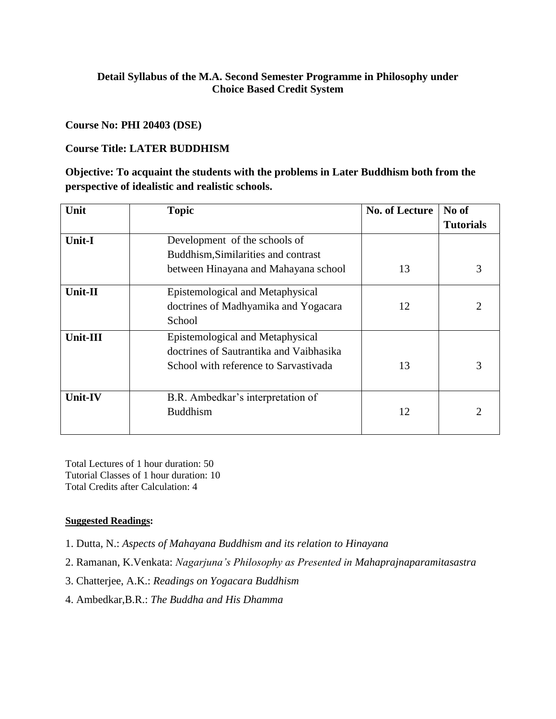### **Course No: PHI 20403 (DSE)**

# **Course Title: LATER BUDDHISM**

**Objective: To acquaint the students with the problems in Later Buddhism both from the perspective of idealistic and realistic schools.**

| Unit           | <b>Topic</b>                            | <b>No. of Lecture</b> | No of            |
|----------------|-----------------------------------------|-----------------------|------------------|
|                |                                         |                       | <b>Tutorials</b> |
| <b>Unit-I</b>  | Development of the schools of           |                       |                  |
|                | Buddhism, Similarities and contrast     |                       |                  |
|                | between Hinayana and Mahayana school    | 13                    | 3                |
| Unit-II        | Epistemological and Metaphysical        |                       |                  |
|                | doctrines of Madhyamika and Yogacara    | 12                    |                  |
|                | School                                  |                       |                  |
| Unit-III       | Epistemological and Metaphysical        |                       |                  |
|                | doctrines of Sautrantika and Vaibhasika |                       |                  |
|                | School with reference to Sarvastivada   | 13                    |                  |
| <b>Unit-IV</b> | B.R. Ambedkar's interpretation of       |                       |                  |
|                | <b>Buddhism</b>                         | 12                    |                  |
|                |                                         |                       |                  |

Total Lectures of 1 hour duration: 50 Tutorial Classes of 1 hour duration: 10 Total Credits after Calculation: 4

- 1. Dutta, N.: *Aspects of Mahayana Buddhism and its relation to Hinayana*
- 2. Ramanan, K.Venkata: *Nagarjuna's Philosophy as Presented in Mahaprajnaparamitasastra*
- 3. Chatterjee, A.K.: *Readings on Yogacara Buddhism*
- 4. Ambedkar,B.R.: *The Buddha and His Dhamma*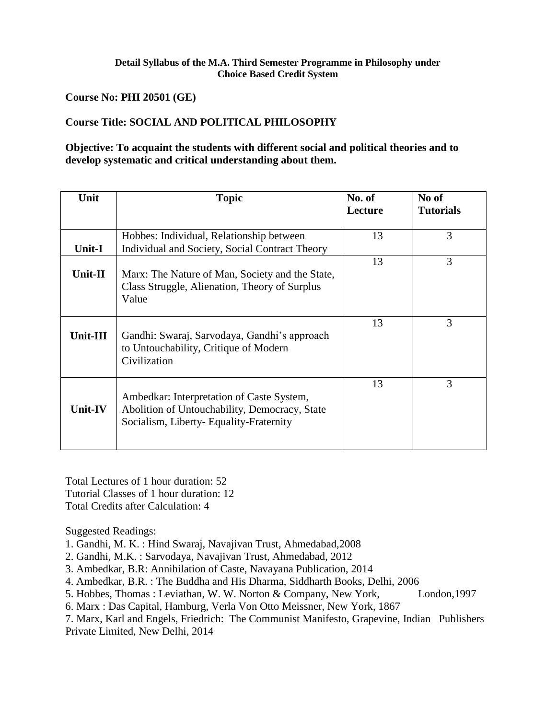**Course No: PHI 20501 (GE)**

# **Course Title: SOCIAL AND POLITICAL PHILOSOPHY**

# **Objective: To acquaint the students with different social and political theories and to develop systematic and critical understanding about them.**

| Unit     | <b>Topic</b>                                                                                                                         | No. of<br>Lecture | No of<br><b>Tutorials</b> |
|----------|--------------------------------------------------------------------------------------------------------------------------------------|-------------------|---------------------------|
| Unit-I   | Hobbes: Individual, Relationship between<br>Individual and Society, Social Contract Theory                                           | 13                | 3                         |
| Unit-II  | Marx: The Nature of Man, Society and the State,<br>Class Struggle, Alienation, Theory of Surplus<br>Value                            | 13                | 3                         |
| Unit-III | Gandhi: Swaraj, Sarvodaya, Gandhi's approach<br>to Untouchability, Critique of Modern<br>Civilization                                | 13                | 3                         |
| Unit-IV  | Ambedkar: Interpretation of Caste System,<br>Abolition of Untouchability, Democracy, State<br>Socialism, Liberty-Equality-Fraternity | 13                | 3                         |

Total Lectures of 1 hour duration: 52 Tutorial Classes of 1 hour duration: 12 Total Credits after Calculation: 4

- 1. Gandhi, M. K. : Hind Swaraj, Navajivan Trust, Ahmedabad,2008
- 2. Gandhi, M.K. : Sarvodaya, Navajivan Trust, Ahmedabad, 2012
- 3. Ambedkar, B.R: Annihilation of Caste, Navayana Publication, 2014
- 4. Ambedkar, B.R. : The Buddha and His Dharma, Siddharth Books, Delhi, 2006
- 5. Hobbes, Thomas : Leviathan, W. W. Norton & Company, New York, London, 1997
- 6. Marx : Das Capital, Hamburg, Verla Von Otto Meissner, New York, 1867
- 7. Marx, Karl and Engels, Friedrich: The Communist Manifesto, Grapevine, Indian Publishers Private Limited, New Delhi, 2014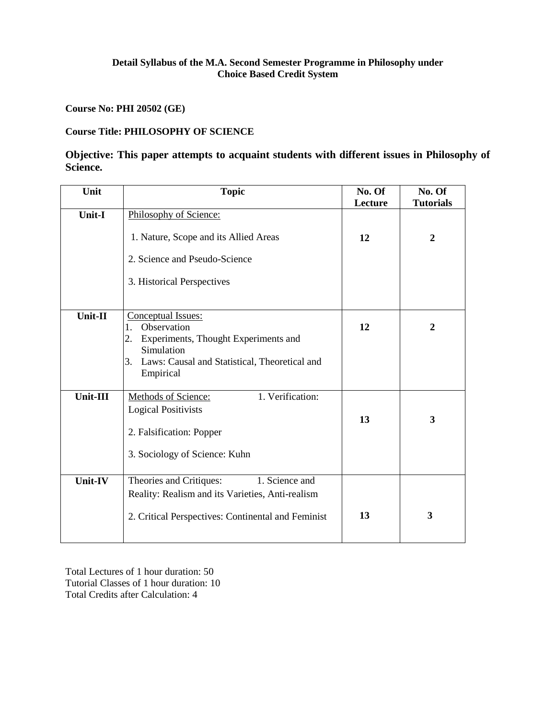**Course No: PHI 20502 (GE)**

# **Course Title: PHILOSOPHY OF SCIENCE**

# **Objective: This paper attempts to acquaint students with different issues in Philosophy of Science.**

| Unit          | <b>Topic</b>                                                                                                                                                         | No. Of<br>Lecture | No. Of<br><b>Tutorials</b> |
|---------------|----------------------------------------------------------------------------------------------------------------------------------------------------------------------|-------------------|----------------------------|
| <b>Unit-I</b> | Philosophy of Science:<br>1. Nature, Scope and its Allied Areas<br>2. Science and Pseudo-Science<br>3. Historical Perspectives                                       | 12                | $\overline{2}$             |
| Unit-II       | Conceptual Issues:<br>Observation<br>1.<br>Experiments, Thought Experiments and<br>2.<br>Simulation<br>3. Laws: Causal and Statistical, Theoretical and<br>Empirical | 12                | $\mathbf{2}$               |
| Unit-III      | 1. Verification:<br><b>Methods of Science:</b><br><b>Logical Positivists</b><br>2. Falsification: Popper<br>3. Sociology of Science: Kuhn                            | 13                | $\overline{\mathbf{3}}$    |
| Unit-IV       | Theories and Critiques:<br>1. Science and<br>Reality: Realism and its Varieties, Anti-realism<br>2. Critical Perspectives: Continental and Feminist                  | 13                | 3                          |

Total Lectures of 1 hour duration: 50 Tutorial Classes of 1 hour duration: 10 Total Credits after Calculation: 4